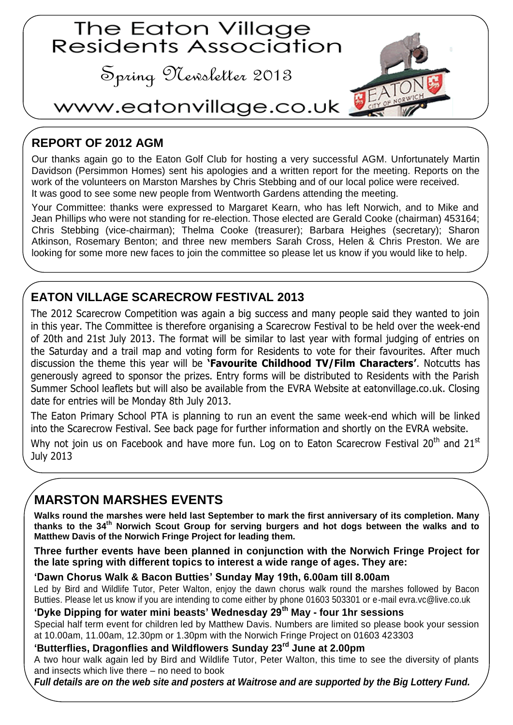

## **REPORT OF 2012 AGM**

Our thanks again go to the Eaton Golf Club for hosting a very successful AGM. Unfortunately Martin Davidson (Persimmon Homes) sent his apologies and a written report for the meeting. Reports on the work of the volunteers on Marston Marshes by Chris Stebbing and of our local police were received. It was good to see some new people from Wentworth Gardens attending the meeting.

Your Committee: thanks were expressed to Margaret Kearn, who has left Norwich, and to Mike and Jean Phillips who were not standing for re-election. Those elected are Gerald Cooke (chairman) 453164; Chris Stebbing (vice-chairman); Thelma Cooke (treasurer); Barbara Heighes (secretary); Sharon Atkinson, Rosemary Benton; and three new members Sarah Cross, Helen & Chris Preston. We are looking for some more new faces to join the committee so please let us know if you would like to help.

## **EATON VILLAGE SCARECROW FESTIVAL 2013**

The 2012 Scarecrow Competition was again a big success and many people said they wanted to join in this year. The Committee is therefore organising a Scarecrow Festival to be held over the week-end of 20th and 21st July 2013. The format will be similar to last year with formal judging of entries on the Saturday and a trail map and voting form for Residents to vote for their favourites. After much discussion the theme this year will be **'Favourite Childhood TV/Film Characters'**. Notcutts has generously agreed to sponsor the prizes. Entry forms will be distributed to Residents with the Parish Summer School leaflets but will also be available from the EVRA Website at eatonvillage.co.uk. Closing date for entries will be Monday 8th July 2013.

The Eaton Primary School PTA is planning to run an event the same week-end which will be linked into the Scarecrow Festival. See back page for further information and shortly on the EVRA website.

Why not join us on Facebook and have more fun. Log on to Eaton Scarecrow Festival 20<sup>th</sup> and 21<sup>st</sup> July 2013

## **MARSTON MARSHES EVENTS**

**Walks round the marshes were held last September to mark the first anniversary of its completion. Many thanks to the 34th Norwich Scout Group for serving burgers and hot dogs between the walks and to Matthew Davis of the Norwich Fringe Project for leading them.**

**Three further events have been planned in conjunction with the Norwich Fringe Project for the late spring with different topics to interest a wide range of ages. They are:**

#### **'Dawn Chorus Walk & Bacon Butties' Sunday May 19th, 6.00am till 8.00am**

Led by Bird and Wildlife Tutor, Peter Walton, enjoy the dawn chorus walk round the marshes followed by Bacon Butties. Please let us know if you are intending to come either by phone 01603 503301 or e-mail evra.vc@live.co.uk

### **'Dyke Dipping for water mini beasts' Wednesday 29th May - four 1hr sessions**

Special half term event for children led by Matthew Davis. Numbers are limited so please book your session at 10.00am, 11.00am, 12.30pm or 1.30pm with the Norwich Fringe Project on 01603 423303

#### **'Butterflies, Dragonflies and Wildflowers Sunday 23rd June at 2.00pm**

A two hour walk again led by Bird and Wildlife Tutor, Peter Walton, this time to see the diversity of plants and insects which live there – no need to book

*Full details are on the web site and posters at Waitrose and are supported by the Big Lottery Fund.*